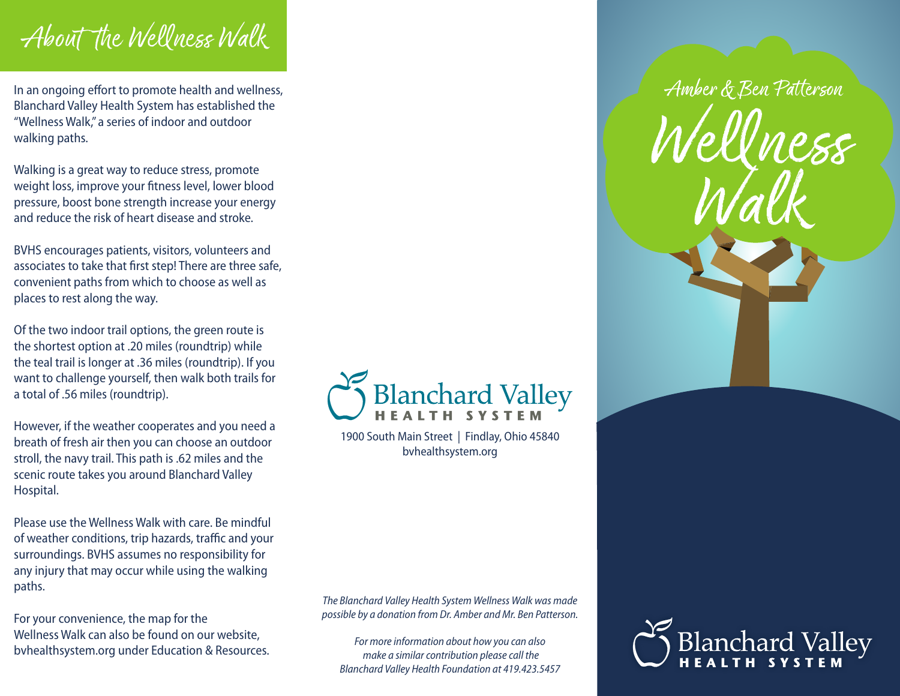## About the Wellness Walk

In an ongoing effort to promote health and wellness, Blanchard Valley Health System has established the "Wellness Walk," a series of indoor and outdoor walking paths.

Walking is a great way to reduce stress, promote weight loss, improve your fitness level, lower blood pressure, boost bone strength increase your energy and reduce the risk of heart disease and stroke.

BVHS encourages patients, visitors, volunteers and associates to take that first step! There are three safe, convenient paths from which to choose as well as places to rest along the way.

Of the two indoor trail options, the green route is the shortest option at .20 miles (roundtrip) while the teal trail is longer at .36 miles (roundtrip). If you want to challenge yourself, then walk both trails for a total of .56 miles (roundtrip).

However, if the weather cooperates and you need a breath of fresh air then you can choose an outdoor stroll, the navy trail. This path is .62 miles and the scenic route takes you around Blanchard Valley Hospital.

Please use the Wellness Walk with care. Be mindful of weather conditions, trip hazards, traffic and your surroundings. BVHS assumes no responsibility for any injury that may occur while using the walking paths.

For your convenience, the map for the Wellness Walk can also be found on our website, bvhealthsystem.org under Education & Resources.



1900 South Main Street | Findlay, Ohio 45840 bvhealthsystem.org

*The Blanchard Valley Health System Wellness Walk was made possible by a donation from Dr. Amber and Mr. Ben Patterson.* 

*For more information about how you can also make a similar contribution please call the Blanchard Valley Health Foundation at 419.423.5457*



Amber & Ben Patterson

lness